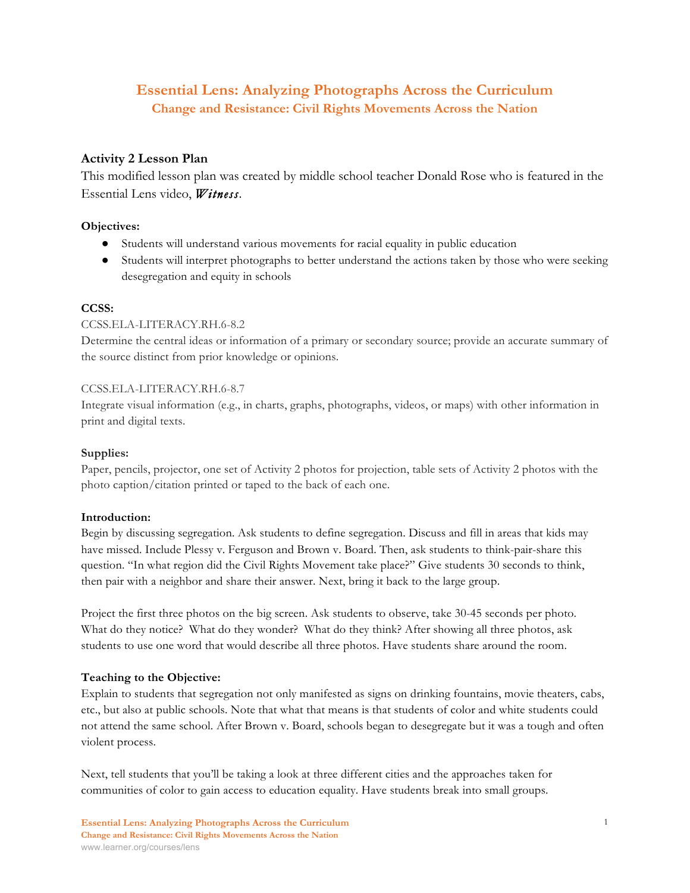# **Essential Lens: Analyzing Photographs Across the Curriculum Change and Resistance: Civil Rights Movements Across the Nation**

## **Activity 2 Lesson Plan**

This modified lesson plan was created by middle school teacher Donald Rose who is featured in the Essential Lens video, *Witness*.

### **Objectives:**

- Students will understand various movements for racial equality in public education
- Students will interpret photographs to better understand the actions taken by those who were seeking desegregation and equity in schools

### **CCSS:**

### CCSS.ELA-LITERACY.RH.6-8.2

Determine the central ideas or information of a primary or secondary source; provide an accurate summary of the source distinct from prior knowledge or opinions.

#### CCSS.ELA-LITERACY.RH.6-8.7

Integrate visual information (e.g., in charts, graphs, photographs, videos, or maps) with other information in print and digital texts.

#### **Supplies:**

Paper, pencils, projector, one set of Activity 2 photos for projection, table sets of Activity 2 photos with the photo caption/citation printed or taped to the back of each one.

#### **Introduction:**

Begin by discussing segregation. Ask students to define segregation. Discuss and fill in areas that kids may have missed. Include Plessy v. Ferguson and Brown v. Board. Then, ask students to think-pair-share this question. "In what region did the Civil Rights Movement take place?" Give students 30 seconds to think, then pair with a neighbor and share their answer. Next, bring it back to the large group.

Project the first three photos on the big screen. Ask students to observe, take 30-45 seconds per photo. What do they notice? What do they wonder? What do they think? After showing all three photos, ask students to use one word that would describe all three photos. Have students share around the room.

#### **Teaching to the Objective:**

Explain to students that segregation not only manifested as signs on drinking fountains, movie theaters, cabs, etc., but also at public schools. Note that what that means is that students of color and white students could not attend the same school. After Brown v. Board, schools began to desegregate but it was a tough and often violent process.

Next, tell students that you'll be taking a look at three different cities and the approaches taken for communities of color to gain access to education equality. Have students break into small groups.